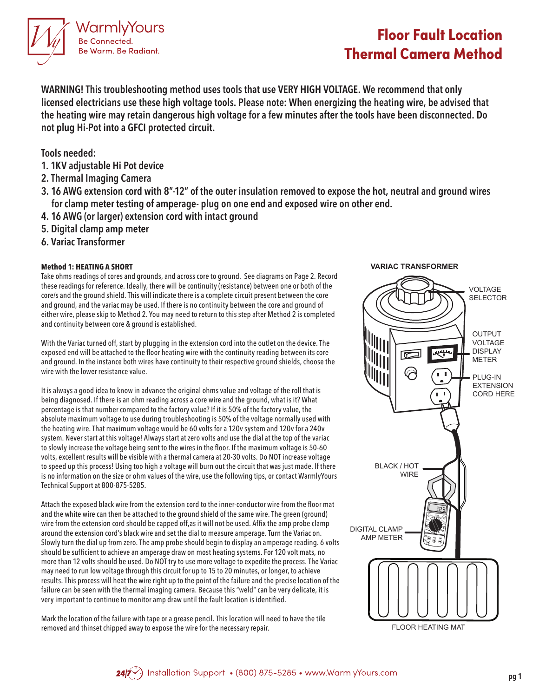

## **Floor Fault Location Thermal Camera Method**

**WARNING! This troubleshooting method uses tools that use VERY HIGH VOLTAGE. We recommend that only licensed electricians use these high voltage tools. Please note: When energizing the heating wire, be advised that the heating wire may retain dangerous high voltage for a few minutes after the tools have been disconnected. Do not plug Hi-Pot into a GFCI protected circuit.** 

**Tools needed:**

- **1. 1KV adjustable Hi Pot device**
- **2. Thermal Imaging Camera**
- **3. 16 AWG extension cord with 8"-12" of the outer insulation removed to expose the hot, neutral and ground wires for clamp meter testing of amperage- plug on one end and exposed wire on other end.**
- **4. 16 AWG (or larger) extension cord with intact ground**
- **5. Digital clamp amp meter**
- **6. Variac Transformer**

### **Method 1: HEATING A SHORT**

Take ohms readings of cores and grounds, and across core to ground. See diagrams on Page 2. Record these readings for reference. Ideally, there will be continuity (resistance) between one or both of the core/s and the ground shield. This will indicate there is a complete circuit present between the core and ground, and the variac may be used. If there is no continuity between the core and ground of either wire, please skip to Method 2. You may need to return to this step after Method 2 is completed and continuity between core & ground is established.

With the Variac turned off, start by plugging in the extension cord into the outlet on the device. The exposed end will be attached to the floor heating wire with the continuity reading between its core and ground. In the instance both wires have continuity to their respective ground shields, choose the wire with the lower resistance value.

It is always a good idea to know in advance the original ohms value and voltage of the roll that is being diagnosed. If there is an ohm reading across a core wire and the ground, what is it? What percentage is that number compared to the factory value? If it is 50% of the factory value, the absolute maximum voltage to use during troubleshooting is 50% of the voltage normally used with the heating wire. That maximum voltage would be 60 volts for a 120v system and 120v for a 240v system. Never start at this voltage! Always start at zero volts and use the dial at the top of the variac to slowly increase the voltage being sent to the wires in the floor. If the maximum voltage is 50-60 volts, excellent results will be visible with a thermal camera at 20-30 volts. Do NOT increase voltage to speed up this process! Using too high a voltage will burn out the circuit that was just made. If there is no information on the size or ohm values of the wire, use the following tips, or contact WarmlyYours Technical Support at 800-875-5285.

Attach the exposed black wire from the extension cord to the inner-conductor wire from the floor mat and the white wire can then be attached to the ground shield of the same wire. The green (ground) wire from the extension cord should be capped off,as it will not be used. Affix the amp probe clamp around the extension cord's black wire and set the dial to measure amperage. Turn the Variac on. Slowly turn the dial up from zero. The amp probe should begin to display an amperage reading. 6 volts should be sufficient to achieve an amperage draw on most heating systems. For 120 volt mats, no more than 12 volts should be used. Do NOT try to use more voltage to expedite the process. The Variac may need to run low voltage through this circuit for up to 15 to 20 minutes, or longer, to achieve results. This process will heat the wire right up to the point of the failure and the precise location of the failure can be seen with the thermal imaging camera. Because this "weld" can be very delicate, it is very important to continue to monitor amp draw until the fault location is identified.

Mark the location of the failure with tape or a grease pencil. This location will need to have the tile removed and thinset chipped away to expose the wire for the necessary repair.